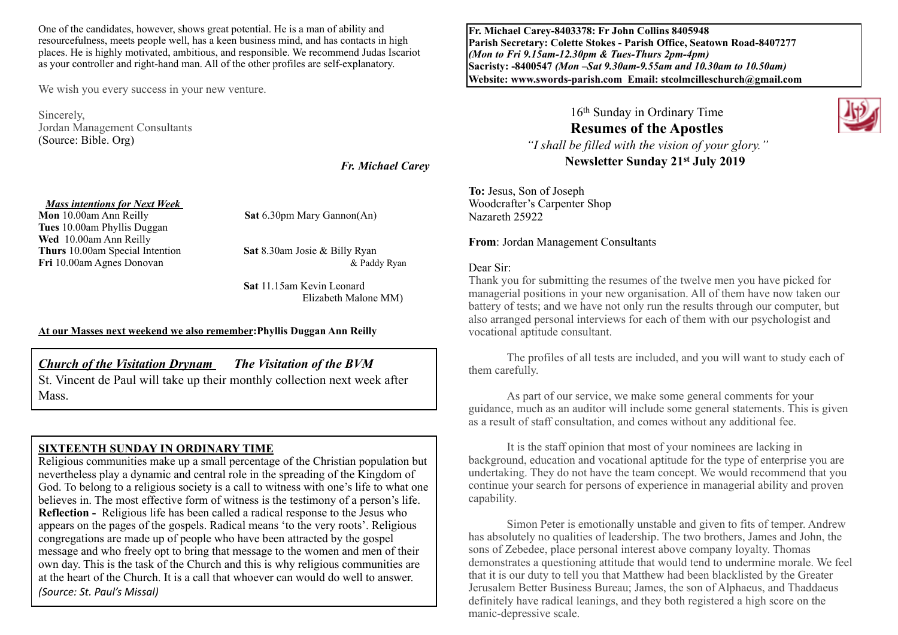One of the candidates, however, shows great potential. He is a man of ability and resourcefulness, meets people well, has a keen business mind, and has contacts in high places. He is highly motivated, ambitious, and responsible. We recommend Judas Iscariot as your controller and right-hand man. All of the other profiles are self-explanatory.

We wish you every success in your new venture.

Sincerely, Jordan Management Consultants (Source: Bible. Org)

*Fr. Michael Carey*

#### *Mass intentions for Next Week*

**Tues** 10.00am Phyllis Duggan **Wed** 10.00am Ann Reilly **Thurs** 10.00am Special Intention **Sat** 8.30am Josie & Billy Ryan

**Mon** 10.00am Ann Reilly **Sat** 6.30pm Mary Gannon(An)

**Fri** 10.00am Agnes Donovan& Paddy Ryan

 **Sat** 11.15am Kevin Leonard Elizabeth Malone MM)

### **At our Masses next weekend we also remember:Phyllis Duggan Ann Reilly**

## *Church of the Visitation Drynam**The Visitation of the BVM*

St. Vincent de Paul will take up their monthly collection next week after Mass.

## **SIXTEENTH SUNDAY IN ORDINARY TIME**

Religious communities make up a small percentage of the Christian population but nevertheless play a dynamic and central role in the spreading of the Kingdom of God. To belong to a religious society is a call to witness with one's life to what one believes in. The most effective form of witness is the testimony of a person's life. **Reflection -** Religious life has been called a radical response to the Jesus who appears on the pages of the gospels. Radical means 'to the very roots'. Religious congregations are made up of people who have been attracted by the gospel message and who freely opt to bring that message to the women and men of their own day. This is the task of the Church and this is why religious communities are at the heart of the Church. It is a call that whoever can would do well to answer. *(Source: St. Paul's Missal)*

**Fr. Michael Carey-8403378: Fr John Collins 8405948 Parish Secretary: Colette Stokes - Parish Office, Seatown Road-8407277**  *(Mon to Fri 9.15am-12.30pm & Tues-Thurs 2pm-4pm)*  **Sacristy: -8400547** *(Mon –Sat 9.30am-9.55am and 10.30am to 10.50am)* **Website: [www.swords-parish.com Email:](http://www.swords-parish.com%20%20email) stcolmcilleschurch@gmail.com**

## 16th Sunday in Ordinary Time **Resumes of the Apostles** *"I shall be filled with the vision of your glory."*  **Newsletter Sunday 21st July 2019**

**To:** Jesus, Son of Joseph Woodcrafter's Carpenter Shop Nazareth 25922

**From**: Jordan Management Consultants

#### Dear Sir:

Thank you for submitting the resumes of the twelve men you have picked for managerial positions in your new organisation. All of them have now taken our battery of tests; and we have not only run the results through our computer, but also arranged personal interviews for each of them with our psychologist and vocational aptitude consultant.

The profiles of all tests are included, and you will want to study each of them carefully.

As part of our service, we make some general comments for your guidance, much as an auditor will include some general statements. This is given as a result of staff consultation, and comes without any additional fee.

It is the staff opinion that most of your nominees are lacking in background, education and vocational aptitude for the type of enterprise you are undertaking. They do not have the team concept. We would recommend that you continue your search for persons of experience in managerial ability and proven capability.

Simon Peter is emotionally unstable and given to fits of temper. Andrew has absolutely no qualities of leadership. The two brothers, James and John, the sons of Zebedee, place personal interest above company loyalty. Thomas demonstrates a questioning attitude that would tend to undermine morale. We feel that it is our duty to tell you that Matthew had been blacklisted by the Greater Jerusalem Better Business Bureau; James, the son of Alphaeus, and Thaddaeus definitely have radical leanings, and they both registered a high score on the manic-depressive scale.